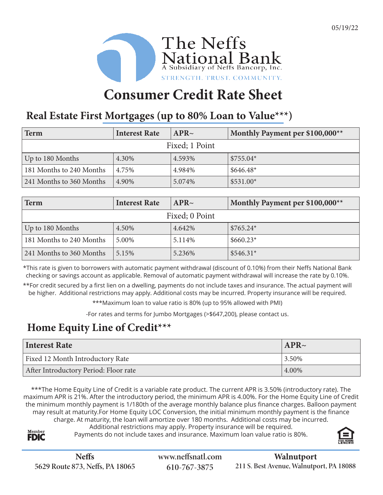

# **Consumer Credit Rate Sheet**

### **Real Estate First Mortgages (up to 80% Loan to Value\*\*\*)**

| Term                     | <b>Interest Rate</b> | APR~   | Monthly Payment per \$100,000** |  |  |
|--------------------------|----------------------|--------|---------------------------------|--|--|
| Fixed; 1 Point           |                      |        |                                 |  |  |
| Up to 180 Months         | 4.30%                | 4.593% | $$755.04*$                      |  |  |
| 181 Months to 240 Months | 4.75%                | 4.984% | $$646.48*$                      |  |  |
| 241 Months to 360 Months | 4.90%                | 5.074% | $$531.00*$                      |  |  |

| Term                     | <b>Interest Rate</b> | APR~   | Monthly Payment per \$100,000** |  |  |
|--------------------------|----------------------|--------|---------------------------------|--|--|
| Fixed; 0 Point           |                      |        |                                 |  |  |
| Up to 180 Months         | 4.50%                | 4.642% | $$765.24*$                      |  |  |
| 181 Months to 240 Months | 5.00%                | 5.114% | $$660.23*$                      |  |  |
| 241 Months to 360 Months | 5.15%                | 5.236% | $$546.31*$                      |  |  |

\*This rate is given to borrowers with automatic payment withdrawal (discount of 0.10%) from their Neffs National Bank checking or savings account as applicable. Removal of automatic payment withdrawal will increase the rate by 0.10%.

\*\*For credit secured by a first lien on a dwelling, payments do not include taxes and insurance. The actual payment will be higher. Additional restrictions may apply. Additional costs may be incurred. Property insurance will be required.

\*\*\*Maximum loan to value ratio is 80% (up to 95% allowed with PMI)

-For rates and terms for Jumbo Mortgages (>\$647,200), please contact us.

## **Home Equity Line of Credit\*\*\***

| Interest Rate                         | APR~  |
|---------------------------------------|-------|
| Fixed 12 Month Introductory Rate      | 3.50% |
| After Introductory Period: Floor rate | 4.00% |

\*\*\*The Home Equity Line of Credit is a variable rate product. The current APR is 3.50% (introductory rate). The maximum APR is 21%. After the introductory period, the minimum APR is 4.00%. For the Home Equity Line of Credit the minimum monthly payment is 1/180th of the average monthly balance plus finance charges. Balloon payment may result at maturity.For Home Equity LOC Conversion, the initial minimum monthly payment is the finance charge. At maturity, the loan will amortize over 180 months. Additional costs may be incurred.

Additional restrictions may apply. Property insurance will be required.

Payments do not include taxes and insurance. Maximum loan value ratio is 80%.



Member **FDIC**